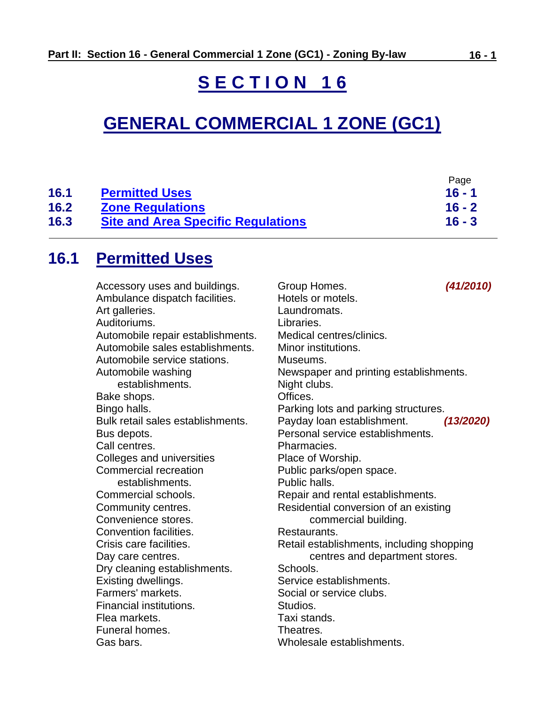# **S E C T I O N 1 6**

# **GENERAL COMMERCIAL 1 ZONE (GC1)**

|      |                                           | Page     |
|------|-------------------------------------------|----------|
| 16.1 | <b>Permitted Uses</b>                     | $16 - 1$ |
| 16.2 | <b>Zone Regulations</b>                   | $16 - 2$ |
| 16.3 | <b>Site and Area Specific Regulations</b> | $16 - 3$ |

# <span id="page-0-0"></span>**16.1 Permitted Uses**

<span id="page-0-1"></span>

| Accessory uses and buildings.<br>Ambulance dispatch facilities.<br>Art galleries.<br>Auditoriums.<br>Automobile repair establishments.<br>Automobile sales establishments.<br>Automobile service stations.<br>Automobile washing | Group Homes.<br>Hotels or motels.<br>Laundromats.<br>Libraries.<br>Medical centres/clinics.<br>Minor institutions.<br>Museums. | (41/2010) |
|----------------------------------------------------------------------------------------------------------------------------------------------------------------------------------------------------------------------------------|--------------------------------------------------------------------------------------------------------------------------------|-----------|
| establishments.                                                                                                                                                                                                                  | Newspaper and printing establishments.<br>Night clubs.                                                                         |           |
| Bake shops.                                                                                                                                                                                                                      | Offices.                                                                                                                       |           |
| Bingo halls.                                                                                                                                                                                                                     | Parking lots and parking structures.                                                                                           |           |
| Bulk retail sales establishments.                                                                                                                                                                                                | Payday loan establishment.                                                                                                     | (13/2020) |
| Bus depots.                                                                                                                                                                                                                      | Personal service establishments.                                                                                               |           |
| Call centres.                                                                                                                                                                                                                    | Pharmacies.                                                                                                                    |           |
| Colleges and universities                                                                                                                                                                                                        | Place of Worship.                                                                                                              |           |
| Commercial recreation                                                                                                                                                                                                            | Public parks/open space.                                                                                                       |           |
| establishments.                                                                                                                                                                                                                  | Public halls.                                                                                                                  |           |
| Commercial schools.                                                                                                                                                                                                              | Repair and rental establishments.                                                                                              |           |
| Community centres.                                                                                                                                                                                                               | Residential conversion of an existing                                                                                          |           |
| Convenience stores.                                                                                                                                                                                                              | commercial building.                                                                                                           |           |
| Convention facilities.                                                                                                                                                                                                           | Restaurants.                                                                                                                   |           |
| Crisis care facilities.                                                                                                                                                                                                          | Retail establishments, including shopping                                                                                      |           |
| Day care centres.                                                                                                                                                                                                                | centres and department stores.                                                                                                 |           |
| Dry cleaning establishments.                                                                                                                                                                                                     | Schools.<br>Service establishments.                                                                                            |           |
| Existing dwellings.<br>Farmers' markets.                                                                                                                                                                                         | Social or service clubs.                                                                                                       |           |
| Financial institutions.                                                                                                                                                                                                          | Studios.                                                                                                                       |           |
| Flea markets.                                                                                                                                                                                                                    | Taxi stands.                                                                                                                   |           |
| Funeral homes.                                                                                                                                                                                                                   | Theatres.                                                                                                                      |           |
| Gas bars.                                                                                                                                                                                                                        | Wholesale establishments.                                                                                                      |           |
|                                                                                                                                                                                                                                  |                                                                                                                                |           |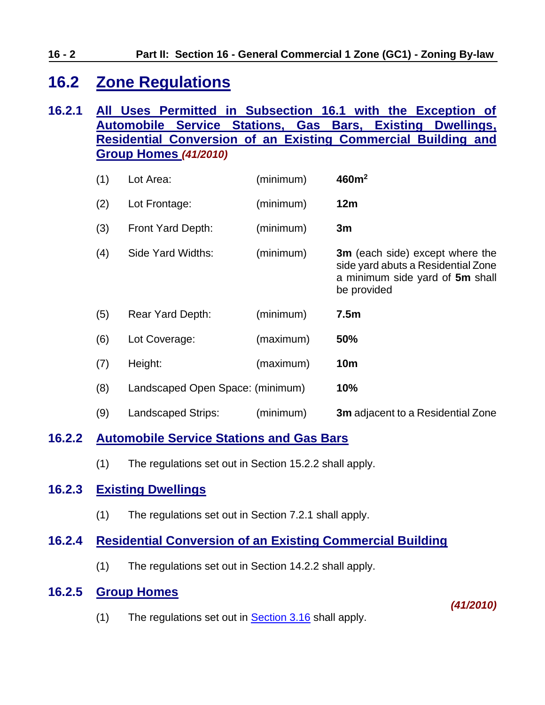## **16.2 Zone Regulations**

## **16.2.1 All Uses Permitted in Subsection 16.1 with the Exception of Automobile Service Stations, Gas Bars, Existing Dwellings, Residential Conversion of an Existing Commercial Building and Group Homes** *(41/2010)*

| (1) | Lot Area:                        | (minimum) | 460m <sup>2</sup>                                                                                                              |
|-----|----------------------------------|-----------|--------------------------------------------------------------------------------------------------------------------------------|
| (2) | Lot Frontage:                    | (minimum) | 12m                                                                                                                            |
| (3) | Front Yard Depth:                | (minimum) | 3m                                                                                                                             |
| (4) | Side Yard Widths:                | (minimum) | <b>3m</b> (each side) except where the<br>side yard abuts a Residential Zone<br>a minimum side yard of 5m shall<br>be provided |
| (5) | Rear Yard Depth:                 | (minimum) | 7.5 <sub>m</sub>                                                                                                               |
| (6) | Lot Coverage:                    | (maximum) | 50%                                                                                                                            |
| (7) | Height:                          | (maximum) | 10 <sub>m</sub>                                                                                                                |
| (8) | Landscaped Open Space: (minimum) |           | 10%                                                                                                                            |
| (9) | Landscaped Strips:               | (minimum) | <b>3m</b> adjacent to a Residential Zone                                                                                       |

## **16.2.2 Automobile Service Stations and Gas Bars**

(1) The regulations set out in Section 15.2.2 shall apply.

## **16.2.3 Existing Dwellings**

(1) The regulations set out in Section 7.2.1 shall apply.

## **16.2.4 Residential Conversion of an Existing Commercial Building**

(1) The regulations set out in Section 14.2.2 shall apply.

## **16.2.5 Group Homes**

(1) The regulations set out in [Section 3.16](ZB_Sec_03_General_Regulations.doc#GR_3_16_Group_Homes) shall apply.

*(41/2010)*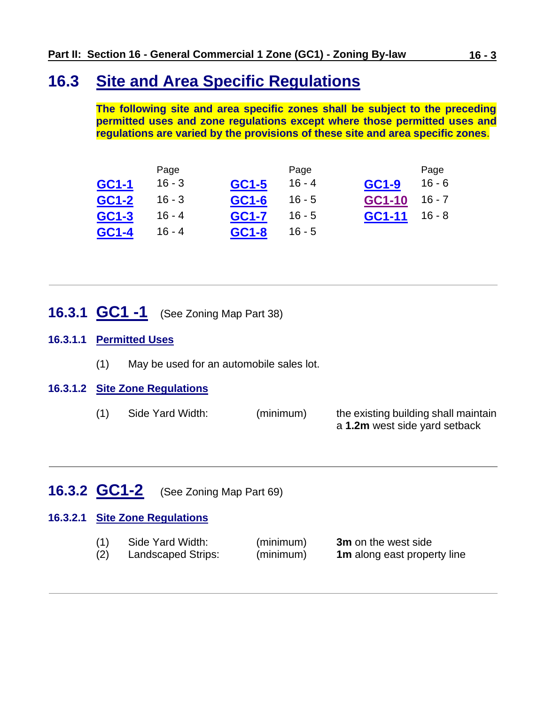## <span id="page-2-0"></span>**16.3 Site and Area Specific Regulations**

**The following site and area specific zones shall be subject to the preceding permitted uses and zone regulations except where those permitted uses and regulations are varied by the provisions of these site and area specific zones**.

|       | Page     |       | Page     |               | Page     |
|-------|----------|-------|----------|---------------|----------|
| GC1-1 | $16 - 3$ | GC1-5 | $16 - 4$ | GC1-9         | $16 - 6$ |
| GC1-2 | $16 - 3$ | GC1-6 | $16 - 5$ | GC1-10        | $16 - 7$ |
| GC1-3 | $16 - 4$ | GC1-7 | $16 - 5$ | <b>GC1-11</b> | $16 - 8$ |
| GC1-4 | $16 - 4$ | GC1-8 | $16 - 5$ |               |          |

- <span id="page-2-1"></span>**16.3.1 GC1 -1** (See Zoning Map Part 38)
- **16.3.1.1 Permitted Uses**
	- (1) May be used for an automobile sales lot.

|  | <b>16.3.1.2 Site Zone Regulations</b> |
|--|---------------------------------------|
|--|---------------------------------------|

(1) Side Yard Width: (minimum) the existing building shall maintain a **1.2m** west side yard setback

# <span id="page-2-2"></span>**16.3.2 GC1-2** (See Zoning Map Part 69)

#### **16.3.2.1 Site Zone Regulations**

| (1) | Side Yard Width:   | (minimum) | <b>3m</b> on the west side         |
|-----|--------------------|-----------|------------------------------------|
| (2) | Landscaped Strips: | (minimum) | <b>1m</b> along east property line |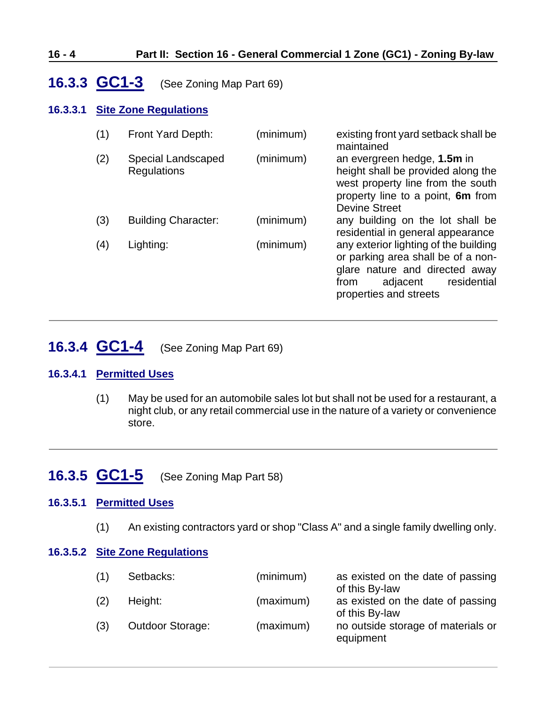## **16 - 4 Part II: Section 16 - General Commercial 1 Zone (GC1) - Zoning By-law**

## <span id="page-3-1"></span>**16.3.3 GC1-3** (See Zoning Map Part 69)

## **16.3.3.1 Site Zone Regulations**

| (1) | Front Yard Depth:                               | (minimum) | existing front yard setback shall be<br>maintained                                                                                                                         |
|-----|-------------------------------------------------|-----------|----------------------------------------------------------------------------------------------------------------------------------------------------------------------------|
| (2) | <b>Special Landscaped</b><br><b>Regulations</b> | (minimum) | an evergreen hedge, 1.5m in<br>height shall be provided along the<br>west property line from the south<br>property line to a point, 6m from<br><b>Devine Street</b>        |
| (3) | <b>Building Character:</b>                      | (minimum) | any building on the lot shall be<br>residential in general appearance                                                                                                      |
| (4) | Lighting:                                       | (minimum) | any exterior lighting of the building<br>or parking area shall be of a non-<br>glare nature and directed away<br>residential<br>adjacent<br>from<br>properties and streets |

## <span id="page-3-2"></span>**16.3.4 GC1-4** (See Zoning Map Part 69)

#### **16.3.4.1 Permitted Uses**

(1) May be used for an automobile sales lot but shall not be used for a restaurant, a night club, or any retail commercial use in the nature of a variety or convenience store.

## <span id="page-3-0"></span>**16.3.5 GC1-5** (See Zoning Map Part 58)

#### **16.3.5.1 Permitted Uses**

(1) An existing contractors yard or shop "Class A" and a single family dwelling only.

#### **16.3.5.2 Site Zone Regulations**

| (1) | Setbacks:               | (minimum) | as existed on the date of passing<br>of this By-law |
|-----|-------------------------|-----------|-----------------------------------------------------|
| (2) | Height:                 | (maximum) | as existed on the date of passing<br>of this By-law |
| (3) | <b>Outdoor Storage:</b> | (maximum) | no outside storage of materials or<br>equipment     |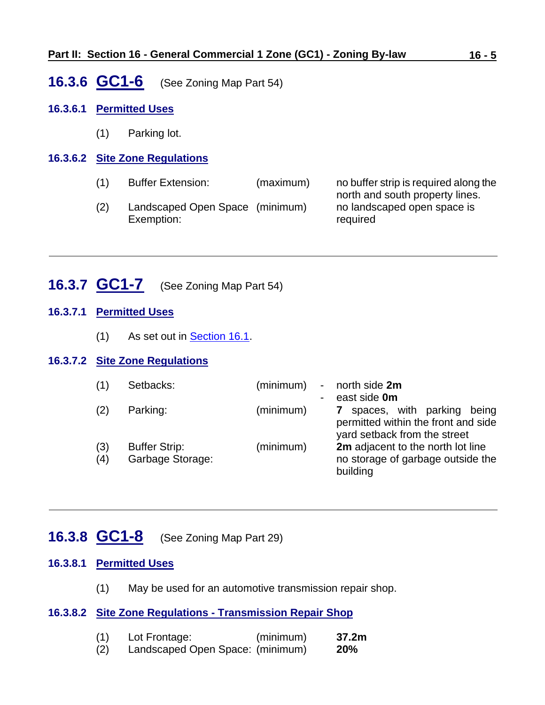## <span id="page-4-0"></span>**16.3.6 GC1-6** (See Zoning Map Part 54)

## **16.3.6.1 Permitted Uses**

(1) Parking lot.

## **16.3.6.2 Site Zone Regulations**

| (1) | <b>Buffer Extension:</b>                      | (maximum) | no buffer strip is required along the<br>north and south property lines. |
|-----|-----------------------------------------------|-----------|--------------------------------------------------------------------------|
| (2) | Landscaped Open Space (minimum)<br>Exemption: |           | no landscaped open space is<br>required                                  |

## <span id="page-4-1"></span>**16.3.7 GC1-7** (See Zoning Map Part 54)

## **16.3.7.1 Permitted Uses**

(1) As set out in [Section 16.1.](#page-0-0)

#### **16.3.7.2 Site Zone Regulations**

| (1)        | Setbacks:                                       | (minimum) | - north side 2m<br>east side 0m                                                                        |
|------------|-------------------------------------------------|-----------|--------------------------------------------------------------------------------------------------------|
| (2)        | Parking:                                        | (minimum) | spaces, with parking being<br>7<br>permitted within the front and side<br>yard setback from the street |
| (3)<br>(4) | <b>Buffer Strip:</b><br><b>Garbage Storage:</b> | (minimum) | 2m adjacent to the north lot line<br>no storage of garbage outside the<br>building                     |

## <span id="page-4-2"></span>**16.3.8 GC1-8** (See Zoning Map Part 29)

## **16.3.8.1 Permitted Uses**

(1) May be used for an automotive transmission repair shop.

## **16.3.8.2 Site Zone Regulations - Transmission Repair Shop**

| (1) | Lot Frontage:                    | (minimum) | 37.2m |
|-----|----------------------------------|-----------|-------|
| (2) | Landeraned Onen Snare: (minimum) |           | 20%   |

(2) Landscaped Open Space: (minimum) **20%**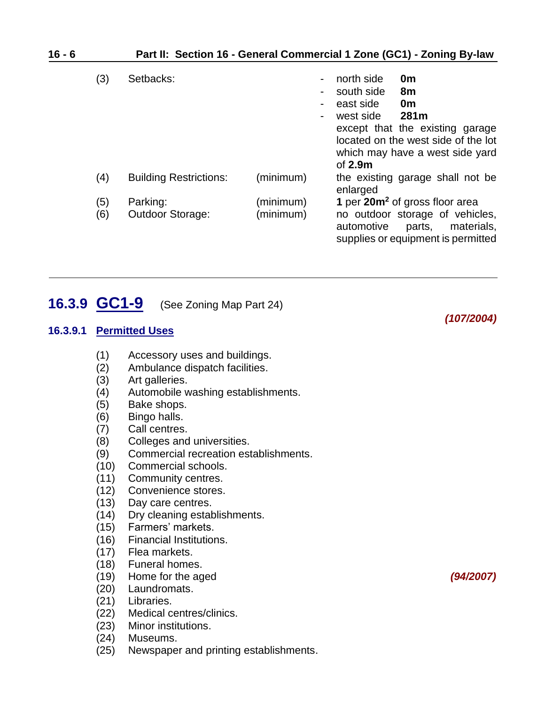| $16 - 6$ |            | Part II: Section 16 - General Commercial 1 Zone (GC1) - Zoning By-law |                        |                                                                                                                                                                                                                    |  |  |
|----------|------------|-----------------------------------------------------------------------|------------------------|--------------------------------------------------------------------------------------------------------------------------------------------------------------------------------------------------------------------|--|--|
|          | (3)        | Setbacks:                                                             |                        | north side<br>0m<br>south side<br>8m<br>east side<br>0 <sub>m</sub><br>281m<br>west side<br>except that the existing garage<br>located on the west side of the lot<br>which may have a west side yard<br>of $2.9m$ |  |  |
|          | (4)        | <b>Building Restrictions:</b>                                         | (minimum)              | the existing garage shall not be<br>enlarged                                                                                                                                                                       |  |  |
|          | (5)<br>(6) | Parking:<br><b>Outdoor Storage:</b>                                   | (minimum)<br>(minimum) | 1 per 20m <sup>2</sup> of gross floor area<br>no outdoor storage of vehicles,<br>automotive<br>materials,<br>parts,<br>supplies or equipment is permitted                                                          |  |  |

## <span id="page-5-0"></span>**16.3.9 GC1-9** (See Zoning Map Part 24)

## **16.3.9.1 Permitted Uses**

- (1) Accessory uses and buildings.
- (2) Ambulance dispatch facilities.
- (3) Art galleries.
- (4) Automobile washing establishments.
- Bake shops.
- (6) Bingo halls.
- (7) Call centres.
- (8) Colleges and universities.
- (9) Commercial recreation establishments.
- (10) Commercial schools.
- (11) Community centres.
- (12) Convenience stores.
- (13) Day care centres.
- (14) Dry cleaning establishments.
- (15) Farmers' markets.
- (16) Financial Institutions.
- (17) Flea markets.
- (18) Funeral homes.
- (19) Home for the aged *(94/2007)*
- (20) Laundromats.
- (21) Libraries.
- (22) Medical centres/clinics.
- (23) Minor institutions.
- (24) Museums.
- (25) Newspaper and printing establishments.

*(107/2004)*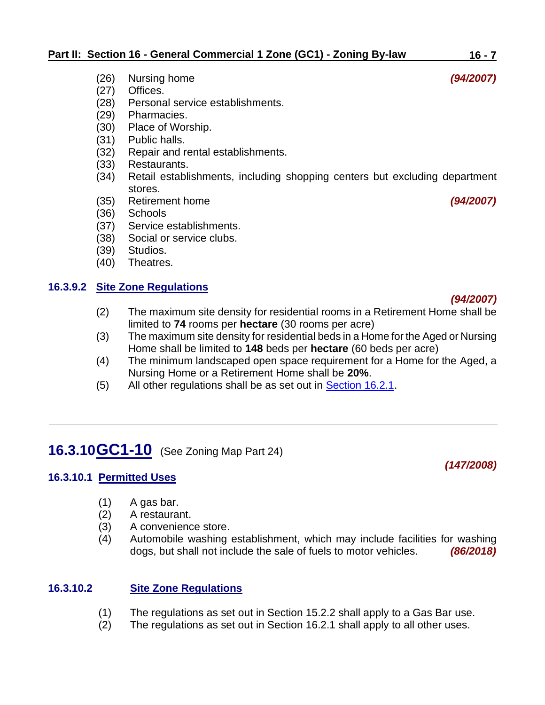- (26) Nursing home *(94/2007)*
- (27) Offices.
- (28) Personal service establishments.
- (29) Pharmacies.
- (30) Place of Worship.
- (31) Public halls.
- (32) Repair and rental establishments.
- (33) Restaurants.
- (34) Retail establishments, including shopping centers but excluding department stores.
- (35) Retirement home *(94/2007)*
- (36) Schools
- (37) Service establishments.
- (38) Social or service clubs.
- (39) Studios.
- (40) Theatres.

#### **16.3.9.2 Site Zone Regulations**

- (2) The maximum site density for residential rooms in a Retirement Home shall be limited to **74** rooms per **hectare** (30 rooms per acre)
- (3) The maximum site density for residential beds in a Home for the Aged or Nursing Home shall be limited to **148** beds per **hectare** (60 beds per acre)
- (4) The minimum landscaped open space requirement for a Home for the Aged, a Nursing Home or a Retirement Home shall be **20%**.
- $(5)$  All other regulations shall be as set out in **Section 16.2.1**.

## <span id="page-6-0"></span>**16.3.10GC1-10** (See Zoning Map Part 24)

#### **16.3.10.1 Permitted Uses**

- (1) A gas bar.
- (2) A restaurant.
- (3) A convenience store.
- (4) Automobile washing establishment, which may include facilities for washing dogs, but shall not include the sale of fuels to motor vehicles. *(86/2018)*

## **16.3.10.2 Site Zone Regulations**

- (1) The regulations as set out in Section 15.2.2 shall apply to a Gas Bar use.
- (2) The regulations as set out in Section 16.2.1 shall apply to all other uses.

*(94/2007)*

## *(147/2008)*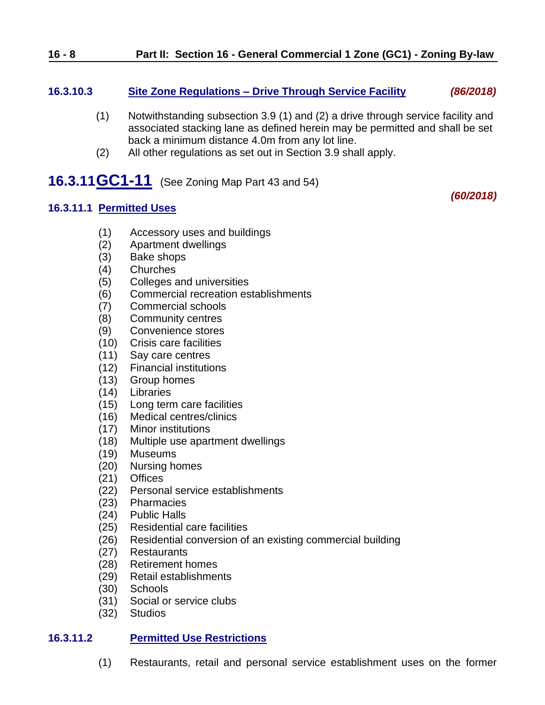## **16 - 8 Part II: Section 16 - General Commercial 1 Zone (GC1) - Zoning By-law**

## **16.3.10.3 Site Zone Regulations – Drive Through Service Facility** *(86/2018)*

- (1) Notwithstanding subsection 3.9 (1) and (2) a drive through service facility and associated stacking lane as defined herein may be permitted and shall be set back a minimum distance 4.0m from any lot line.
- <span id="page-7-0"></span>(2) All other regulations as set out in Section 3.9 shall apply.

## **16.3.11GC1-11** (See Zoning Map Part 43 and 54)

## **16.3.11.1 Permitted Uses**

*(60/2018)*

- (1) Accessory uses and buildings
- (2) Apartment dwellings
- (3) Bake shops
- (4) Churches
- (5) Colleges and universities
- (6) Commercial recreation establishments
- (7) Commercial schools
- (8) Community centres
- (9) Convenience stores
- (10) Crisis care facilities
- (11) Say care centres
- (12) Financial institutions
- (13) Group homes
- (14) Libraries
- (15) Long term care facilities
- (16) Medical centres/clinics
- (17) Minor institutions
- (18) Multiple use apartment dwellings
- (19) Museums
- (20) Nursing homes
- (21) Offices
- (22) Personal service establishments
- (23) Pharmacies
- (24) Public Halls
- (25) Residential care facilities
- (26) Residential conversion of an existing commercial building
- (27) Restaurants
- (28) Retirement homes
- (29) Retail establishments
- (30) Schools
- (31) Social or service clubs
- (32) Studios

#### **16.3.11.2 Permitted Use Restrictions**

(1) Restaurants, retail and personal service establishment uses on the former